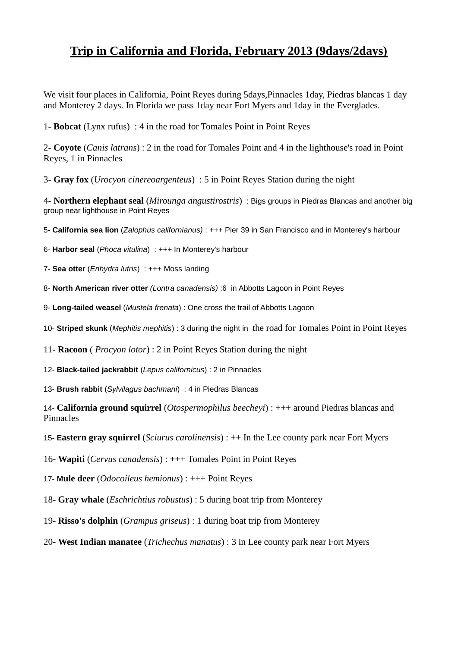## **Trip in California and Florida, February 2013 (9days/2days)**

We visit four places in California, Point Reyes during 5days,Pinnacles 1day, Piedras blancas 1 day and Monterey 2 days. In Florida we pass 1day near Fort Myers and 1day in the Everglades.

1- **Bobcat** (Lynx rufus) : 4 in the road for Tomales Point in Point Reyes

2- **Coyote** (*Canis latrans*) : 2 in the road for Tomales Point and 4 in the lighthouse's road in Point Reyes, 1 in Pinnacles

3- **Gray fox** (*Urocyon cinereoargenteus*) : 5 in Point Reyes Station during the night

4- **Northern elephant seal** (*Mirounga angustirostris*) : Bigs groups in Piedras Blancas and another big group near lighthouse in Point Reyes

5- **California sea lion** (*Zalophus californianus)* : +++ Pier 39 in San Francisco and in Monterey's harbour

6- **Harbor seal** (*Phoca vitulina*) : +++ In Monterey's harbour

7- **Sea otter** (*Enhydra lutris*) : +++ Moss landing

8- **North American river otter** *(Lontra canadensis)* :6 in Abbotts Lagoon in Point Reyes

9- **Long-tailed weasel** (*Mustela frenata*) : One cross the trail of Abbotts Lagoon

10- **Striped skunk** (*Mephitis mephitis*) : 3 during the night in the road for Tomales Point in Point Reyes

11- **Racoon** ( *Procyon lotor*) : 2 in Point Reyes Station during the night

12- **Black-tailed jackrabbit** (*Lepus californicus*) : 2 in Pinnacles

13- **Brush rabbit** (*Sylvilagus bachmani*) : 4 in Piedras Blancas

14- **California ground squirrel** (*Otospermophilus beecheyi*) : +++ around Piedras blancas and Pinnacles

15- **Eastern gray squirrel** (*Sciurus carolinensis*) : ++ In the Lee county park near Fort Myers

16- **Wapiti** (*Cervus canadensis*) : +++ Tomales Point in Point Reyes

17- **Mule deer** (*Odocoileus hemionus*) : +++ Point Reyes

18- **Gray whale** (*Eschrichtius robustus*) : 5 during boat trip from Monterey

19- **Risso's dolphin** (*Grampus griseus*) : 1 during boat trip from Monterey

20- **West Indian manatee** (*Trichechus manatus*) : 3 in Lee county park near Fort Myers